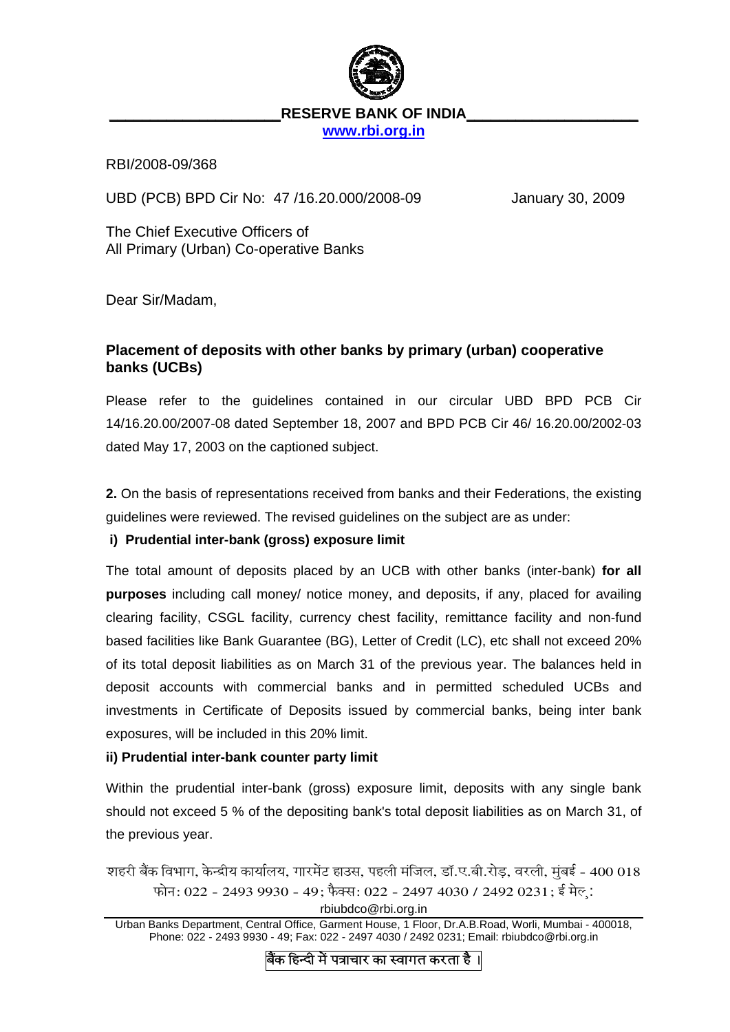

# RESERVE BANK OF INDIA

**[www.rbi.org.in](http://www.rbi.org.in/)**

RBI/2008-09/368

UBD (PCB) BPD Cir No: 47 /16.20.000/2008-09 January 30, 2009

The Chief Executive Officers of All Primary (Urban) Co-operative Banks

Dear Sir/Madam,

## **Placement of deposits with other banks by primary (urban) cooperative banks (UCBs)**

Please refer to the guidelines contained in our circular UBD BPD PCB Cir 14/16.20.00/2007-08 dated September 18, 2007 and BPD PCB Cir 46/ 16.20.00/2002-03 dated May 17, 2003 on the captioned subject.

**2.** On the basis of representations received from banks and their Federations, the existing guidelines were reviewed. The revised guidelines on the subject are as under:

### **i) Prudential inter-bank (gross) exposure limit**

The total amount of deposits placed by an UCB with other banks (inter-bank) **for all purposes** including call money/ notice money, and deposits, if any, placed for availing clearing facility, CSGL facility, currency chest facility, remittance facility and non-fund based facilities like Bank Guarantee (BG), Letter of Credit (LC), etc shall not exceed 20% of its total deposit liabilities as on March 31 of the previous year. The balances held in deposit accounts with commercial banks and in permitted scheduled UCBs and investments in Certificate of Deposits issued by commercial banks, being inter bank exposures, will be included in this 20% limit.

### **ii) Prudential inter-bank counter party limit**

Within the prudential inter-bank (gross) exposure limit, deposits with any single bank should not exceed 5 % of the depositing bank's total deposit liabilities as on March 31, of the previous year.

शहरी बैंक विभाग, केन्द्रीय कार्यालय, गारमेंट हाउस, पहली मंजिल, डॉ.ए.बी.रोड़, वरली, मुंबई - 400 018 फोन: 022 - 2493 9930 - 49; फैक्स: 022 - 2497 4030 / 2492 0231; ई मेल:

rbiubdco@rbi.org.in

Urban Banks Department, Central Office, Garment House, 1 Floor, Dr.A.B.Road, Worli, Mumbai - 400018, Phone: 022 - 2493 9930 - 49; Fax: 022 - 2497 4030 / 2492 0231; Email: rbiubdco@rbi.org.in